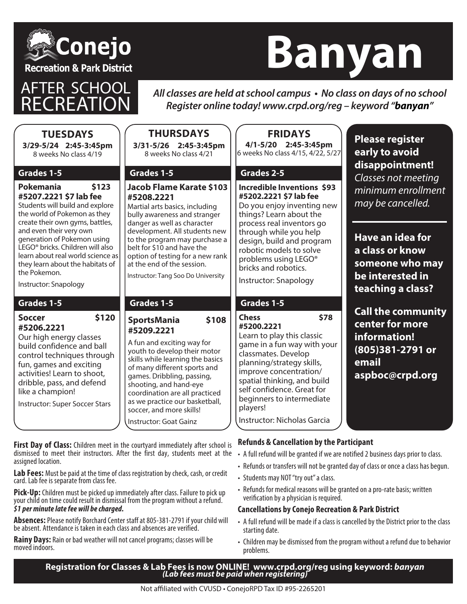

# **Banyan**

**ER SCHOOL** 

All classes are held at school campus • No class on days of no school *Register online today! www.crpd.org/reg – keyword "***banyan***"*

| <b>TUESDAYS</b><br>3/29-5/24 2:45-3:45pm<br>8 weeks No class 4/19                                                                                                                                                                                                          | <b>THURSDAYS</b><br>3/31-5/26 2:45-3:45pm<br>8 weeks No class 4/21                                                                                                                                                                                                                                                                  | <b>FRIDAYS</b><br>4/1-5/20 2:45-3:45pm<br>6 weeks No class 4/15, 4/22, 5/27                                                                                                                                                                                                         | <b>Please register</b><br>early to avoid<br>disappointment!                                                  |
|----------------------------------------------------------------------------------------------------------------------------------------------------------------------------------------------------------------------------------------------------------------------------|-------------------------------------------------------------------------------------------------------------------------------------------------------------------------------------------------------------------------------------------------------------------------------------------------------------------------------------|-------------------------------------------------------------------------------------------------------------------------------------------------------------------------------------------------------------------------------------------------------------------------------------|--------------------------------------------------------------------------------------------------------------|
| Grades 1-5<br>Pokemania<br>\$123<br>#5207.2221 \$7 lab fee<br>Students will build and explore<br>the world of Pokemon as they<br>create their own gyms, battles,<br>and even their very own<br>generation of Pokemon using<br>LEGO <sup>®</sup> bricks. Children will also | Grades 1-5<br><b>Jacob Flame Karate \$103</b><br>#5208.2221<br>Martial arts basics, including<br>bully awareness and stranger<br>danger as well as character<br>development. All students new<br>to the program may purchase a<br>belt for \$10 and have the                                                                        | Grades 2-5<br><b>Incredible Inventions \$93</b><br>#5202.2221 \$7 lab fee<br>Do you enjoy inventing new<br>things? Learn about the<br>process real inventors go<br>through while you help<br>design, build and program<br>robotic models to solve                                   | Classes not meeting<br>minimum enrollment<br>may be cancelled.<br>Have an idea for<br>a class or know        |
| learn about real world science as<br>they learn about the habitats of<br>the Pokemon.<br>Instructor: Snapology<br>Grades 1-5                                                                                                                                               | option of testing for a new rank<br>at the end of the session.<br>Instructor: Tang Soo Do University<br>Grades 1-5                                                                                                                                                                                                                  | problems using LEGO®<br>bricks and robotics.<br>Instructor: Snapology<br>Grades 1-5                                                                                                                                                                                                 | someone who may<br>be interested in<br>teaching a class?                                                     |
| \$120<br><b>Soccer</b><br>#5206.2221<br>Our high energy classes<br>build confidence and ball<br>control techniques through<br>fun, games and exciting<br>activities! Learn to shoot,<br>dribble, pass, and defend<br>like a champion!<br>Instructor: Super Soccer Stars    | \$108<br><b>SportsMania</b><br>#5209.2221<br>A fun and exciting way for<br>youth to develop their motor<br>skills while learning the basics<br>of many different sports and<br>games. Dribbling, passing,<br>shooting, and hand-eye<br>coordination are all practiced<br>as we practice our basketball,<br>soccer, and more skills! | <b>Chess</b><br>\$78<br>#5200.2221<br>Learn to play this classic<br>game in a fun way with your<br>classmates. Develop<br>planning/strategy skills,<br>improve concentration/<br>spatial thinking, and build<br>self confidence. Great for<br>beginners to intermediate<br>players! | <b>Call the community</b><br>center for more<br>information!<br>(805)381-2791 or<br>email<br>aspboc@crpd.org |
|                                                                                                                                                                                                                                                                            | Instructor: Goat Gainz                                                                                                                                                                                                                                                                                                              | Instructor: Nicholas Garcia                                                                                                                                                                                                                                                         |                                                                                                              |

**First Day of Class:** Children meet in the courtyard immediately after school is dismissed to meet their instructors. After the first day, students meet at the assigned location.

**Lab Fees:** Must be paid at the time of class registration by check, cash, or credit card. Lab fee is separate from class fee.

**Pick-Up:** Children must be picked up immediately after class. Failure to pick up your child on time could result in dismissal from the program without a refund. *\$1 per minute late fee will be charged.*

**Absences:** Please notify Borchard Center staff at 805-381-2791 if your child will be absent. Attendance is taken in each class and absences are verified.

**Rainy Days:** Rain or bad weather will not cancel programs; classes will be moved indoors.

• A full refund will be granted if we are notified 2 business days prior to class.

- Refunds or transfers will not be granted day of class or once a class has begun.
- Students may NOT "try out" a class.
- Refunds for medical reasons will be granted on a pro-rate basis; written verification by a physician is required.

#### **Cancellations by Conejo Recreation & Park District**

- A full refund will be made if a class is cancelled by the District prior to the class starting date.
- Children may be dismissed from the program without a refund due to behavior problems.

**Registration for Classes & Lab Fees is now ONLINE! www.crpd.org/reg using keyword: banyan** *(Lab fees must be paid when registering)*